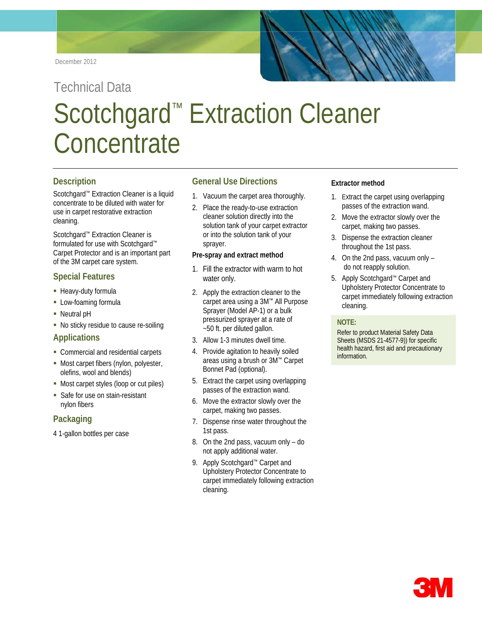

# Technical Data Scotchgard<sup>™</sup> Extraction Cleaner **Concentrate**

## **Description**

Scotchgard™ Extraction Cleaner is a liquid concentrate to be diluted with water for use in carpet restorative extraction cleaning.

Scotchgard™ Extraction Cleaner is formulated for use with Scotchgard™ Carpet Protector and is an important part of the 3M carpet care system.

## **Special Features**

- **Heavy-duty formula**
- **Low-foaming formula**
- Neutral pH
- No sticky residue to cause re-soiling

## **Applications**

- Commercial and residential carpets
- **Most carpet fibers (nylon, polyester,** olefins, wool and blends)
- **Most carpet styles (loop or cut piles)**
- **Safe for use on stain-resistant** nylon fibers

## **Packaging**

4 1-gallon bottles per case

## **General Use Directions**

- 1. Vacuum the carpet area thoroughly.
- 2. Place the ready-to-use extraction cleaner solution directly into the solution tank of your carpet extractor or into the solution tank of your sprayer.

#### **Pre-spray and extract method**

- 1. Fill the extractor with warm to hot water only.
- 2. Apply the extraction cleaner to the carpet area using a 3M™ All Purpose Sprayer (Model AP-1) or a bulk pressurized sprayer at a rate of ~50 ft. per diluted gallon.
- 3. Allow 1-3 minutes dwell time.
- 4. Provide agitation to heavily soiled areas using a brush or 3M™ Carpet Bonnet Pad (optional).
- 5. Extract the carpet using overlapping passes of the extraction wand.
- 6. Move the extractor slowly over the carpet, making two passes.
- 7. Dispense rinse water throughout the 1st pass.
- 8. On the 2nd pass, vacuum only do not apply additional water.
- 9. Apply Scotchgard<sup>™</sup> Carpet and Upholstery Protector Concentrate to carpet immediately following extraction cleaning.

#### **Extractor method**

- 1. Extract the carpet using overlapping passes of the extraction wand.
- 2. Move the extractor slowly over the carpet, making two passes.
- 3. Dispense the extraction cleaner throughout the 1st pass.
- 4. On the 2nd pass, vacuum only do not reapply solution.
- 5. Apply Scotchgard™ Carpet and Upholstery Protector Concentrate to carpet immediately following extraction cleaning.

#### **Ready-to-Use NOTE:**

Refer to product Material Safety Data Sheets (MSDS 21-4577-9)) for specific health hazard, first aid and precautionary information.